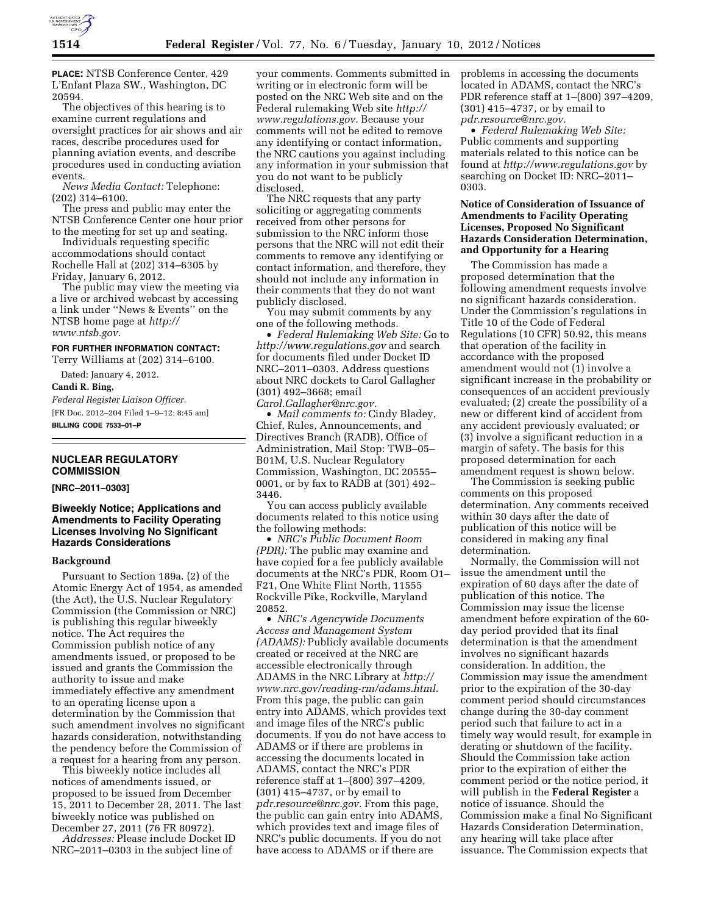

**PLACE:** NTSB Conference Center, 429 L'Enfant Plaza SW., Washington, DC 20594.

The objectives of this hearing is to examine current regulations and oversight practices for air shows and air races, describe procedures used for planning aviation events, and describe procedures used in conducting aviation events.

*News Media Contact:* Telephone: (202) 314–6100.

The press and public may enter the NTSB Conference Center one hour prior to the meeting for set up and seating.

Individuals requesting specific accommodations should contact Rochelle Hall at (202) 314–6305 by Friday, January 6, 2012.

The public may view the meeting via a live or archived webcast by accessing a link under ''News & Events'' on the NTSB home page at *[http://](http://www.ntsb.gov) [www.ntsb.gov.](http://www.ntsb.gov)* 

#### **FOR FURTHER INFORMATION CONTACT:**

Terry Williams at (202) 314–6100.

Dated: January 4, 2012.

**Candi R. Bing,** 

*Federal Register Liaison Officer.*  [FR Doc. 2012–204 Filed 1–9–12; 8:45 am] **BILLING CODE 7533–01–P** 

#### **NUCLEAR REGULATORY COMMISSION**

**[NRC–2011–0303]** 

## **Biweekly Notice; Applications and Amendments to Facility Operating Licenses Involving No Significant Hazards Considerations**

#### **Background**

Pursuant to Section 189a. (2) of the Atomic Energy Act of 1954, as amended (the Act), the U.S. Nuclear Regulatory Commission (the Commission or NRC) is publishing this regular biweekly notice. The Act requires the Commission publish notice of any amendments issued, or proposed to be issued and grants the Commission the authority to issue and make immediately effective any amendment to an operating license upon a determination by the Commission that such amendment involves no significant hazards consideration, notwithstanding the pendency before the Commission of a request for a hearing from any person.

This biweekly notice includes all notices of amendments issued, or proposed to be issued from December 15, 2011 to December 28, 2011. The last biweekly notice was published on December 27, 2011 (76 FR 80972).

*Addresses:* Please include Docket ID NRC–2011–0303 in the subject line of

your comments. Comments submitted in writing or in electronic form will be posted on the NRC Web site and on the Federal rulemaking Web site *[http://](http://www.regulations.gov) [www.regulations.gov.](http://www.regulations.gov)* Because your comments will not be edited to remove any identifying or contact information, the NRC cautions you against including any information in your submission that you do not want to be publicly disclosed.

The NRC requests that any party soliciting or aggregating comments received from other persons for submission to the NRC inform those persons that the NRC will not edit their comments to remove any identifying or contact information, and therefore, they should not include any information in their comments that they do not want publicly disclosed.

You may submit comments by any one of the following methods.

• *Federal Rulemaking Web Site:* Go to *<http://www.regulations.gov>* and search for documents filed under Docket ID NRC–2011–0303. Address questions about NRC dockets to Carol Gallagher (301) 492–3668; email *[Carol.Gallagher@nrc.gov.](mailto:Carol.Gallagher@nrc.gov)* 

• *Mail comments to:* Cindy Bladey, Chief, Rules, Announcements, and Directives Branch (RADB), Office of Administration, Mail Stop: TWB–05– B01M, U.S. Nuclear Regulatory Commission, Washington, DC 20555– 0001, or by fax to RADB at (301) 492– 3446.

You can access publicly available documents related to this notice using the following methods:

• *NRC's Public Document Room (PDR):* The public may examine and have copied for a fee publicly available documents at the NRC's PDR, Room O1– F21, One White Flint North, 11555 Rockville Pike, Rockville, Maryland 20852.

• *NRC's Agencywide Documents Access and Management System (ADAMS):* Publicly available documents created or received at the NRC are accessible electronically through ADAMS in the NRC Library at *[http://](http://www.nrc.gov/reading-rm/adams.html)  [www.nrc.gov/reading-rm/adams.html.](http://www.nrc.gov/reading-rm/adams.html)*  From this page, the public can gain entry into ADAMS, which provides text and image files of the NRC's public documents. If you do not have access to ADAMS or if there are problems in accessing the documents located in ADAMS, contact the NRC's PDR reference staff at 1–(800) 397–4209, (301) 415–4737, or by email to *[pdr.resource@nrc.gov.](mailto:pdr.resource@nrc.gov)* From this page, the public can gain entry into ADAMS, which provides text and image files of NRC's public documents. If you do not have access to ADAMS or if there are

problems in accessing the documents located in ADAMS, contact the NRC's PDR reference staff at 1–(800) 397–4209, (301) 415–4737, or by email to *[pdr.resource@nrc.gov.](mailto:pdr.resource@nrc.gov)* 

• *Federal Rulemaking Web Site:*  Public comments and supporting materials related to this notice can be found at *<http://www.regulations.gov>* by searching on Docket ID: NRC–2011– 0303.

## **Notice of Consideration of Issuance of Amendments to Facility Operating Licenses, Proposed No Significant Hazards Consideration Determination, and Opportunity for a Hearing**

The Commission has made a proposed determination that the following amendment requests involve no significant hazards consideration. Under the Commission's regulations in Title 10 of the Code of Federal Regulations (10 CFR) 50.92, this means that operation of the facility in accordance with the proposed amendment would not (1) involve a significant increase in the probability or consequences of an accident previously evaluated; (2) create the possibility of a new or different kind of accident from any accident previously evaluated; or (3) involve a significant reduction in a margin of safety. The basis for this proposed determination for each amendment request is shown below.

The Commission is seeking public comments on this proposed determination. Any comments received within 30 days after the date of publication of this notice will be considered in making any final determination.

Normally, the Commission will not issue the amendment until the expiration of 60 days after the date of publication of this notice. The Commission may issue the license amendment before expiration of the 60 day period provided that its final determination is that the amendment involves no significant hazards consideration. In addition, the Commission may issue the amendment prior to the expiration of the 30-day comment period should circumstances change during the 30-day comment period such that failure to act in a timely way would result, for example in derating or shutdown of the facility. Should the Commission take action prior to the expiration of either the comment period or the notice period, it will publish in the **Federal Register** a notice of issuance. Should the Commission make a final No Significant Hazards Consideration Determination, any hearing will take place after issuance. The Commission expects that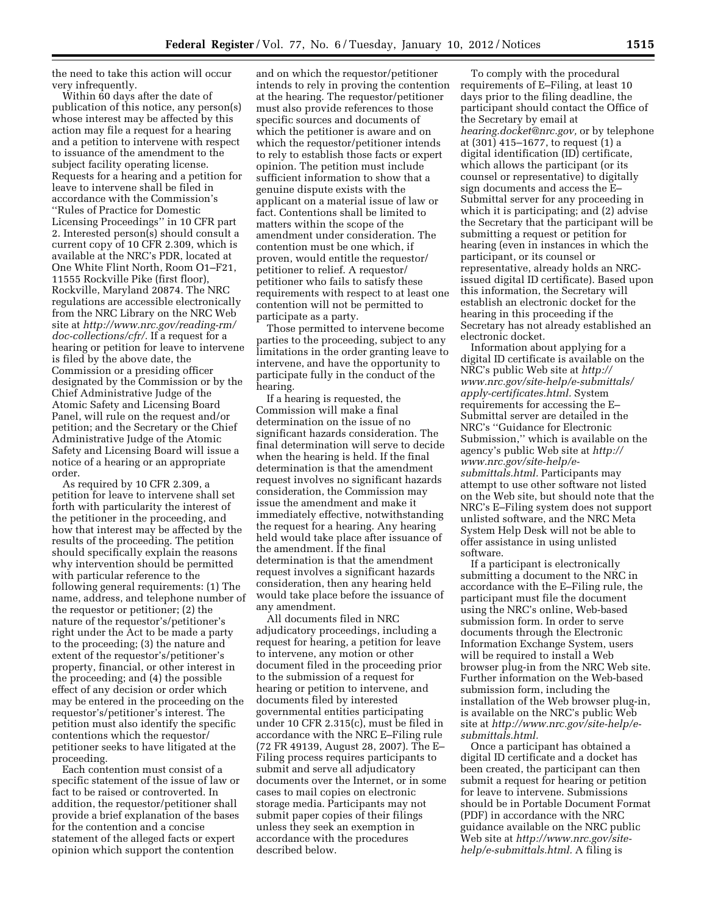the need to take this action will occur very infrequently.

Within 60 days after the date of publication of this notice, any person(s) whose interest may be affected by this action may file a request for a hearing and a petition to intervene with respect to issuance of the amendment to the subject facility operating license. Requests for a hearing and a petition for leave to intervene shall be filed in accordance with the Commission's

''Rules of Practice for Domestic Licensing Proceedings'' in 10 CFR part 2. Interested person(s) should consult a current copy of 10 CFR 2.309, which is available at the NRC's PDR, located at One White Flint North, Room O1–F21, 11555 Rockville Pike (first floor), Rockville, Maryland 20874. The NRC regulations are accessible electronically from the NRC Library on the NRC Web site at *[http://www.nrc.gov/reading-rm/](http://www.nrc.gov/reading-rm/doc-collections/cfr/) [doc-collections/cfr/.](http://www.nrc.gov/reading-rm/doc-collections/cfr/)* If a request for a hearing or petition for leave to intervene is filed by the above date, the Commission or a presiding officer designated by the Commission or by the Chief Administrative Judge of the Atomic Safety and Licensing Board Panel, will rule on the request and/or petition; and the Secretary or the Chief Administrative Judge of the Atomic Safety and Licensing Board will issue a notice of a hearing or an appropriate order.

As required by 10 CFR 2.309, a petition for leave to intervene shall set forth with particularity the interest of the petitioner in the proceeding, and how that interest may be affected by the results of the proceeding. The petition should specifically explain the reasons why intervention should be permitted with particular reference to the following general requirements: (1) The name, address, and telephone number of the requestor or petitioner; (2) the nature of the requestor's/petitioner's right under the Act to be made a party to the proceeding; (3) the nature and extent of the requestor's/petitioner's property, financial, or other interest in the proceeding; and (4) the possible effect of any decision or order which may be entered in the proceeding on the requestor's/petitioner's interest. The petition must also identify the specific contentions which the requestor/ petitioner seeks to have litigated at the proceeding.

Each contention must consist of a specific statement of the issue of law or fact to be raised or controverted. In addition, the requestor/petitioner shall provide a brief explanation of the bases for the contention and a concise statement of the alleged facts or expert opinion which support the contention

and on which the requestor/petitioner intends to rely in proving the contention at the hearing. The requestor/petitioner must also provide references to those specific sources and documents of which the petitioner is aware and on which the requestor/petitioner intends to rely to establish those facts or expert opinion. The petition must include sufficient information to show that a genuine dispute exists with the applicant on a material issue of law or fact. Contentions shall be limited to matters within the scope of the amendment under consideration. The contention must be one which, if proven, would entitle the requestor/ petitioner to relief. A requestor/ petitioner who fails to satisfy these requirements with respect to at least one contention will not be permitted to participate as a party.

Those permitted to intervene become parties to the proceeding, subject to any limitations in the order granting leave to intervene, and have the opportunity to participate fully in the conduct of the hearing.

If a hearing is requested, the Commission will make a final determination on the issue of no significant hazards consideration. The final determination will serve to decide when the hearing is held. If the final determination is that the amendment request involves no significant hazards consideration, the Commission may issue the amendment and make it immediately effective, notwithstanding the request for a hearing. Any hearing held would take place after issuance of the amendment. If the final determination is that the amendment request involves a significant hazards consideration, then any hearing held would take place before the issuance of any amendment.

All documents filed in NRC adjudicatory proceedings, including a request for hearing, a petition for leave to intervene, any motion or other document filed in the proceeding prior to the submission of a request for hearing or petition to intervene, and documents filed by interested governmental entities participating under 10 CFR 2.315(c), must be filed in accordance with the NRC E–Filing rule (72 FR 49139, August 28, 2007). The E– Filing process requires participants to submit and serve all adjudicatory documents over the Internet, or in some cases to mail copies on electronic storage media. Participants may not submit paper copies of their filings unless they seek an exemption in accordance with the procedures described below.

To comply with the procedural requirements of E–Filing, at least 10 days prior to the filing deadline, the participant should contact the Office of the Secretary by email at *[hearing.docket@nrc.gov,](mailto:hearing.docket@nrc.gov)* or by telephone at (301) 415–1677, to request (1) a digital identification (ID) certificate, which allows the participant (or its counsel or representative) to digitally sign documents and access the E– Submittal server for any proceeding in which it is participating; and (2) advise the Secretary that the participant will be submitting a request or petition for hearing (even in instances in which the participant, or its counsel or representative, already holds an NRCissued digital ID certificate). Based upon this information, the Secretary will establish an electronic docket for the hearing in this proceeding if the Secretary has not already established an electronic docket.

Information about applying for a digital ID certificate is available on the NRC's public Web site at *[http://](http://www.nrc.gov/site-help/e-submittals/apply-certificates.html) [www.nrc.gov/site-help/e-submittals/](http://www.nrc.gov/site-help/e-submittals/apply-certificates.html) [apply-certificates.html.](http://www.nrc.gov/site-help/e-submittals/apply-certificates.html)* System requirements for accessing the E– Submittal server are detailed in the NRC's ''Guidance for Electronic Submission,'' which is available on the agency's public Web site at *[http://](http://www.nrc.gov/site-help/e-submittals.html)  [www.nrc.gov/site-help/e](http://www.nrc.gov/site-help/e-submittals.html)[submittals.html.](http://www.nrc.gov/site-help/e-submittals.html)* Participants may attempt to use other software not listed on the Web site, but should note that the NRC's E–Filing system does not support unlisted software, and the NRC Meta System Help Desk will not be able to offer assistance in using unlisted software.

If a participant is electronically submitting a document to the NRC in accordance with the E–Filing rule, the participant must file the document using the NRC's online, Web-based submission form. In order to serve documents through the Electronic Information Exchange System, users will be required to install a Web browser plug-in from the NRC Web site. Further information on the Web-based submission form, including the installation of the Web browser plug-in, is available on the NRC's public Web site at *[http://www.nrc.gov/site-help/e](http://www.nrc.gov/site-help/e-submittals.html)[submittals.html.](http://www.nrc.gov/site-help/e-submittals.html)* 

Once a participant has obtained a digital ID certificate and a docket has been created, the participant can then submit a request for hearing or petition for leave to intervene. Submissions should be in Portable Document Format (PDF) in accordance with the NRC guidance available on the NRC public Web site at *[http://www.nrc.gov/site](http://www.nrc.gov/site-help/e-submittals.html)[help/e-submittals.html.](http://www.nrc.gov/site-help/e-submittals.html)* A filing is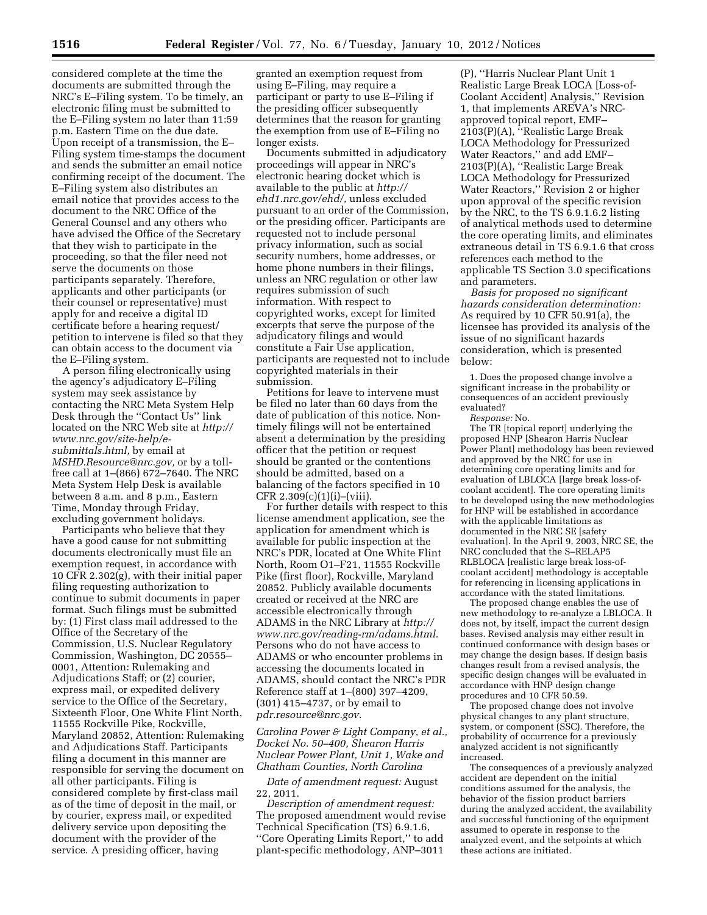considered complete at the time the documents are submitted through the NRC's E–Filing system. To be timely, an electronic filing must be submitted to the E–Filing system no later than 11:59 p.m. Eastern Time on the due date. Upon receipt of a transmission, the E– Filing system time-stamps the document and sends the submitter an email notice confirming receipt of the document. The E–Filing system also distributes an email notice that provides access to the document to the NRC Office of the General Counsel and any others who have advised the Office of the Secretary that they wish to participate in the proceeding, so that the filer need not serve the documents on those participants separately. Therefore, applicants and other participants (or their counsel or representative) must apply for and receive a digital ID certificate before a hearing request/ petition to intervene is filed so that they can obtain access to the document via the E–Filing system.

A person filing electronically using the agency's adjudicatory E–Filing system may seek assistance by contacting the NRC Meta System Help Desk through the ''Contact Us'' link located on the NRC Web site at *[http://](http://www.nrc.gov/site-help/e-submittals.html)  [www.nrc.gov/site-help/e](http://www.nrc.gov/site-help/e-submittals.html)[submittals.html,](http://www.nrc.gov/site-help/e-submittals.html)* by email at *[MSHD.Resource@nrc.gov,](mailto:MSHD.Resource@nrc.gov)* or by a tollfree call at 1–(866) 672–7640. The NRC Meta System Help Desk is available between 8 a.m. and 8 p.m., Eastern Time, Monday through Friday, excluding government holidays.

Participants who believe that they have a good cause for not submitting documents electronically must file an exemption request, in accordance with 10 CFR 2.302(g), with their initial paper filing requesting authorization to continue to submit documents in paper format. Such filings must be submitted by: (1) First class mail addressed to the Office of the Secretary of the Commission, U.S. Nuclear Regulatory Commission, Washington, DC 20555– 0001, Attention: Rulemaking and Adjudications Staff; or (2) courier, express mail, or expedited delivery service to the Office of the Secretary, Sixteenth Floor, One White Flint North, 11555 Rockville Pike, Rockville, Maryland 20852, Attention: Rulemaking and Adjudications Staff. Participants filing a document in this manner are responsible for serving the document on all other participants. Filing is considered complete by first-class mail as of the time of deposit in the mail, or by courier, express mail, or expedited delivery service upon depositing the document with the provider of the service. A presiding officer, having

granted an exemption request from using E–Filing, may require a participant or party to use E–Filing if the presiding officer subsequently determines that the reason for granting the exemption from use of E–Filing no longer exists.

Documents submitted in adjudicatory proceedings will appear in NRC's electronic hearing docket which is available to the public at *[http://](http://ehd1.nrc.gov/ehd/)  [ehd1.nrc.gov/ehd/,](http://ehd1.nrc.gov/ehd/)* unless excluded pursuant to an order of the Commission, or the presiding officer. Participants are requested not to include personal privacy information, such as social security numbers, home addresses, or home phone numbers in their filings, unless an NRC regulation or other law requires submission of such information. With respect to copyrighted works, except for limited excerpts that serve the purpose of the adjudicatory filings and would constitute a Fair Use application, participants are requested not to include copyrighted materials in their submission.

Petitions for leave to intervene must be filed no later than 60 days from the date of publication of this notice. Nontimely filings will not be entertained absent a determination by the presiding officer that the petition or request should be granted or the contentions should be admitted, based on a balancing of the factors specified in 10 CFR  $2.309(c)(1)(i)$ –(viii).

For further details with respect to this license amendment application, see the application for amendment which is available for public inspection at the NRC's PDR, located at One White Flint North, Room O1–F21, 11555 Rockville Pike (first floor), Rockville, Maryland 20852. Publicly available documents created or received at the NRC are accessible electronically through ADAMS in the NRC Library at *[http://](http://www.nrc.gov/reading-rm/adams.html)  [www.nrc.gov/reading-rm/adams.html.](http://www.nrc.gov/reading-rm/adams.html)*  Persons who do not have access to ADAMS or who encounter problems in accessing the documents located in ADAMS, should contact the NRC's PDR Reference staff at 1–(800) 397–4209, (301) 415–4737, or by email to *[pdr.resource@nrc.gov.](mailto:pdr.resource@nrc.gov)* 

*Carolina Power & Light Company, et al., Docket No. 50–400, Shearon Harris Nuclear Power Plant, Unit 1, Wake and Chatham Counties, North Carolina* 

*Date of amendment request:* August 22, 2011.

*Description of amendment request:*  The proposed amendment would revise Technical Specification (TS) 6.9.1.6, ''Core Operating Limits Report,'' to add plant-specific methodology, ANP–3011

(P), ''Harris Nuclear Plant Unit 1 Realistic Large Break LOCA [Loss-of-Coolant Accident] Analysis,'' Revision 1, that implements AREVA's NRCapproved topical report, EMF– 2103(P)(A), ''Realistic Large Break LOCA Methodology for Pressurized Water Reactors,'' and add EMF– 2103(P)(A), ''Realistic Large Break LOCA Methodology for Pressurized Water Reactors,'' Revision 2 or higher upon approval of the specific revision by the NRC, to the TS 6.9.1.6.2 listing of analytical methods used to determine the core operating limits, and eliminates extraneous detail in TS 6.9.1.6 that cross references each method to the applicable TS Section 3.0 specifications and parameters.

*Basis for proposed no significant hazards consideration determination:*  As required by 10 CFR 50.91(a), the licensee has provided its analysis of the issue of no significant hazards consideration, which is presented below:

1. Does the proposed change involve a significant increase in the probability or consequences of an accident previously evaluated?

*Response:* No.

The TR [topical report] underlying the proposed HNP [Shearon Harris Nuclear Power Plant] methodology has been reviewed and approved by the NRC for use in determining core operating limits and for evaluation of LBLOCA [large break loss-ofcoolant accident]. The core operating limits to be developed using the new methodologies for HNP will be established in accordance with the applicable limitations as documented in the NRC SE [safety evaluation]. In the April 9, 2003, NRC SE, the NRC concluded that the S–RELAP5 RLBLOCA [realistic large break loss-ofcoolant accident] methodology is acceptable for referencing in licensing applications in accordance with the stated limitations.

The proposed change enables the use of new methodology to re-analyze a LBLOCA. It does not, by itself, impact the current design bases. Revised analysis may either result in continued conformance with design bases or may change the design bases. If design basis changes result from a revised analysis, the specific design changes will be evaluated in accordance with HNP design change procedures and 10 CFR 50.59.

The proposed change does not involve physical changes to any plant structure, system, or component (SSC). Therefore, the probability of occurrence for a previously analyzed accident is not significantly increased.

The consequences of a previously analyzed accident are dependent on the initial conditions assumed for the analysis, the behavior of the fission product barriers during the analyzed accident, the availability and successful functioning of the equipment assumed to operate in response to the analyzed event, and the setpoints at which these actions are initiated.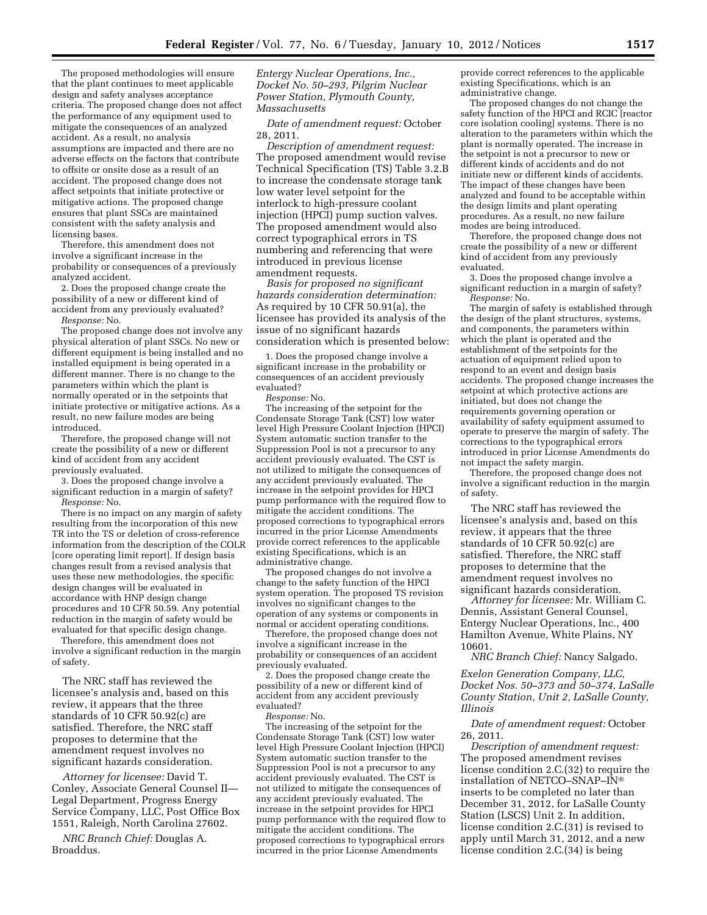The proposed methodologies will ensure that the plant continues to meet applicable design and safety analyses acceptance criteria. The proposed change does not affect the performance of any equipment used to mitigate the consequences of an analyzed accident. As a result, no analysis assumptions are impacted and there are no adverse effects on the factors that contribute to offsite or onsite dose as a result of an accident. The proposed change does not affect setpoints that initiate protective or mitigative actions. The proposed change ensures that plant SSCs are maintained consistent with the safety analysis and licensing bases.

Therefore, this amendment does not involve a significant increase in the probability or consequences of a previously analyzed accident.

2. Does the proposed change create the possibility of a new or different kind of accident from any previously evaluated? *Response:* No.

The proposed change does not involve any physical alteration of plant SSCs. No new or different equipment is being installed and no installed equipment is being operated in a different manner. There is no change to the parameters within which the plant is normally operated or in the setpoints that initiate protective or mitigative actions. As a result, no new failure modes are being introduced.

Therefore, the proposed change will not create the possibility of a new or different kind of accident from any accident previously evaluated.

3. Does the proposed change involve a significant reduction in a margin of safety? *Response:* No.

There is no impact on any margin of safety resulting from the incorporation of this new TR into the TS or deletion of cross-reference information from the description of the COLR [core operating limit report]. If design basis changes result from a revised analysis that uses these new methodologies, the specific design changes will be evaluated in accordance with HNP design change procedures and 10 CFR 50.59. Any potential reduction in the margin of safety would be evaluated for that specific design change.

Therefore, this amendment does not involve a significant reduction in the margin of safety.

The NRC staff has reviewed the licensee's analysis and, based on this review, it appears that the three standards of 10 CFR 50.92(c) are satisfied. Therefore, the NRC staff proposes to determine that the amendment request involves no significant hazards consideration.

*Attorney for licensee:* David T. Conley, Associate General Counsel II— Legal Department, Progress Energy Service Company, LLC, Post Office Box 1551, Raleigh, North Carolina 27602.

*NRC Branch Chief:* Douglas A. Broaddus.

*Entergy Nuclear Operations, Inc., Docket No. 50–293, Pilgrim Nuclear Power Station, Plymouth County, Massachusetts* 

*Date of amendment request:* October 28, 2011.

*Description of amendment request:*  The proposed amendment would revise Technical Specification (TS) Table 3.2.B to increase the condensate storage tank low water level setpoint for the interlock to high-pressure coolant injection (HPCI) pump suction valves. The proposed amendment would also correct typographical errors in TS numbering and referencing that were introduced in previous license amendment requests.

*Basis for proposed no significant hazards consideration determination:*  As required by 10 CFR 50.91(a), the licensee has provided its analysis of the issue of no significant hazards consideration which is presented below:

1. Does the proposed change involve a significant increase in the probability or consequences of an accident previously evaluated?

*Response:* No.

The increasing of the setpoint for the Condensate Storage Tank (CST) low water level High Pressure Coolant Injection (HPCI) System automatic suction transfer to the Suppression Pool is not a precursor to any accident previously evaluated. The CST is not utilized to mitigate the consequences of any accident previously evaluated. The increase in the setpoint provides for HPCI pump performance with the required flow to mitigate the accident conditions. The proposed corrections to typographical errors incurred in the prior License Amendments provide correct references to the applicable existing Specifications, which is an administrative change.

The proposed changes do not involve a change to the safety function of the HPCI system operation. The proposed TS revision involves no significant changes to the operation of any systems or components in normal or accident operating conditions.

Therefore, the proposed change does not involve a significant increase in the probability or consequences of an accident previously evaluated.

2. Does the proposed change create the possibility of a new or different kind of accident from any accident previously evaluated?

*Response:* No.

The increasing of the setpoint for the Condensate Storage Tank (CST) low water level High Pressure Coolant Injection (HPCI) System automatic suction transfer to the Suppression Pool is not a precursor to any accident previously evaluated. The CST is not utilized to mitigate the consequences of any accident previously evaluated. The increase in the setpoint provides for HPCI pump performance with the required flow to mitigate the accident conditions. The proposed corrections to typographical errors incurred in the prior License Amendments

provide correct references to the applicable existing Specifications, which is an administrative change.

The proposed changes do not change the safety function of the HPCI and RCIC [reactor core isolation cooling] systems. There is no alteration to the parameters within which the plant is normally operated. The increase in the setpoint is not a precursor to new or different kinds of accidents and do not initiate new or different kinds of accidents. The impact of these changes have been analyzed and found to be acceptable within the design limits and plant operating procedures. As a result, no new failure modes are being introduced.

Therefore, the proposed change does not create the possibility of a new or different kind of accident from any previously evaluated.

3. Does the proposed change involve a significant reduction in a margin of safety? *Response:* No.

The margin of safety is established through the design of the plant structures, systems, and components, the parameters within which the plant is operated and the establishment of the setpoints for the actuation of equipment relied upon to respond to an event and design basis accidents. The proposed change increases the setpoint at which protective actions are initiated, but does not change the requirements governing operation or availability of safety equipment assumed to operate to preserve the margin of safety. The corrections to the typographical errors introduced in prior License Amendments do not impact the safety margin.

Therefore, the proposed change does not involve a significant reduction in the margin of safety.

The NRC staff has reviewed the licensee's analysis and, based on this review, it appears that the three standards of 10 CFR 50.92(c) are satisfied. Therefore, the NRC staff proposes to determine that the amendment request involves no significant hazards consideration.

*Attorney for licensee:* Mr. William C. Dennis, Assistant General Counsel, Entergy Nuclear Operations, Inc., 400 Hamilton Avenue, White Plains, NY 10601.

*NRC Branch Chief:* Nancy Salgado.

*Exelon Generation Company, LLC, Docket Nos. 50–373 and 50–374, LaSalle County Station, Unit 2, LaSalle County, Illinois* 

*Date of amendment request:* October 26, 2011.

*Description of amendment request:*  The proposed amendment revises license condition 2.C.(32) to require the installation of NETCO–SNAP–IN® inserts to be completed no later than December 31, 2012, for LaSalle County Station (LSCS) Unit 2. In addition, license condition 2.C.(31) is revised to apply until March 31, 2012, and a new license condition 2.C.(34) is being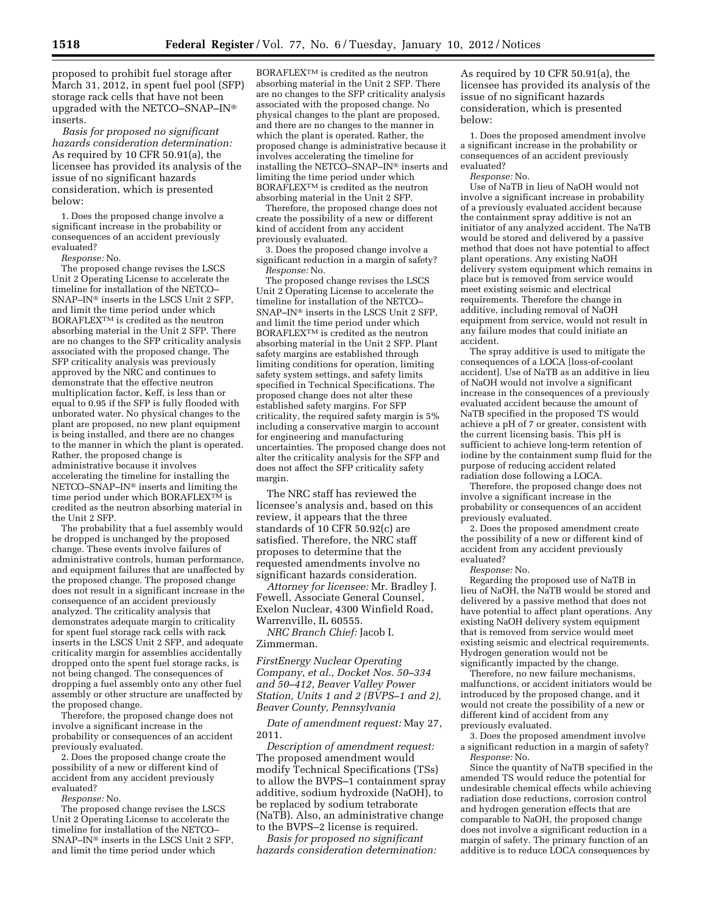proposed to prohibit fuel storage after March 31, 2012, in spent fuel pool (SFP) storage rack cells that have not been upgraded with the NETCO–SNAP–IN® inserts.

*Basis for proposed no significant hazards consideration determination:*  As required by 10 CFR 50.91(a), the licensee has provided its analysis of the issue of no significant hazards consideration, which is presented below:

1. Does the proposed change involve a significant increase in the probability or consequences of an accident previously evaluated?

*Response:* No.

The proposed change revises the LSCS Unit 2 Operating License to accelerate the timeline for installation of the NETCO– SNAP–IN® inserts in the LSCS Unit 2 SFP, and limit the time period under which BORAFLEXTM is credited as the neutron absorbing material in the Unit 2 SFP. There are no changes to the SFP criticality analysis associated with the proposed change. The SFP criticality analysis was previously approved by the NRC and continues to demonstrate that the effective neutron multiplication factor, Keff, is less than or equal to 0.95 if the SFP is fully flooded with unborated water. No physical changes to the plant are proposed, no new plant equipment is being installed, and there are no changes to the manner in which the plant is operated. Rather, the proposed change is administrative because it involves accelerating the timeline for installing the NETCO–SNAP–IN® inserts and limiting the time period under which BORAFLEX<sup>TM</sup> is credited as the neutron absorbing material in the Unit 2 SFP.

The probability that a fuel assembly would be dropped is unchanged by the proposed change. These events involve failures of administrative controls, human performance, and equipment failures that are unaffected by the proposed change. The proposed change does not result in a significant increase in the consequence of an accident previously analyzed. The criticality analysis that demonstrates adequate margin to criticality for spent fuel storage rack cells with rack inserts in the LSCS Unit 2 SFP, and adequate criticality margin for assemblies accidentally dropped onto the spent fuel storage racks, is not being changed. The consequences of dropping a fuel assembly onto any other fuel assembly or other structure are unaffected by the proposed change.

Therefore, the proposed change does not involve a significant increase in the probability or consequences of an accident previously evaluated.

2. Does the proposed change create the possibility of a new or different kind of accident from any accident previously evaluated?

*Response:* No.

The proposed change revises the LSCS Unit 2 Operating License to accelerate the timeline for installation of the NETCO– SNAP–IN® inserts in the LSCS Unit 2 SFP, and limit the time period under which

 $\rm BORAFLEX^{TM}$  is credited as the neutron absorbing material in the Unit 2 SFP. There are no changes to the SFP criticality analysis associated with the proposed change. No physical changes to the plant are proposed, and there are no changes to the manner in which the plant is operated. Rather, the proposed change is administrative because it involves accelerating the timeline for installing the NETCO–SNAP–IN® inserts and limiting the time period under which BORAFLEXTM is credited as the neutron absorbing material in the Unit 2 SFP.

Therefore, the proposed change does not create the possibility of a new or different kind of accident from any accident previously evaluated.

3. Does the proposed change involve a significant reduction in a margin of safety? *Response:* No.

The proposed change revises the LSCS Unit 2 Operating License to accelerate the timeline for installation of the NETCO– SNAP–IN® inserts in the LSCS Unit 2 SFP, and limit the time period under which BORAFLEXTM is credited as the neutron absorbing material in the Unit 2 SFP. Plant safety margins are established through limiting conditions for operation, limiting safety system settings, and safety limits specified in Technical Specifications. The proposed change does not alter these established safety margins. For SFP criticality, the required safety margin is 5% including a conservative margin to account for engineering and manufacturing uncertainties. The proposed change does not alter the criticality analysis for the SFP and does not affect the SFP criticality safety margin.

The NRC staff has reviewed the licensee's analysis and, based on this review, it appears that the three standards of 10 CFR 50.92(c) are satisfied. Therefore, the NRC staff proposes to determine that the requested amendments involve no significant hazards consideration.

*Attorney for licensee:* Mr. Bradley J. Fewell, Associate General Counsel, Exelon Nuclear, 4300 Winfield Road, Warrenville, IL 60555.

*NRC Branch Chief:* Jacob I. Zimmerman.

*FirstEnergy Nuclear Operating Company, et al., Docket Nos. 50–334 and 50–412, Beaver Valley Power Station, Units 1 and 2 (BVPS–1 and 2), Beaver County, Pennsylvania* 

*Date of amendment request:* May 27, 2011.

*Description of amendment request:*  The proposed amendment would modify Technical Specifications (TSs) to allow the BVPS–1 containment spray additive, sodium hydroxide (NaOH), to be replaced by sodium tetraborate (NaTB). Also, an administrative change to the BVPS–2 license is required.

*Basis for proposed no significant hazards consideration determination:* 

As required by 10 CFR 50.91(a), the licensee has provided its analysis of the issue of no significant hazards consideration, which is presented below:

1. Does the proposed amendment involve a significant increase in the probability or consequences of an accident previously evaluated?

*Response:* No.

Use of NaTB in lieu of NaOH would not involve a significant increase in probability of a previously evaluated accident because the containment spray additive is not an initiator of any analyzed accident. The NaTB would be stored and delivered by a passive method that does not have potential to affect plant operations. Any existing NaOH delivery system equipment which remains in place but is removed from service would meet existing seismic and electrical requirements. Therefore the change in additive, including removal of NaOH equipment from service, would not result in any failure modes that could initiate an accident.

The spray additive is used to mitigate the consequences of a LOCA [loss-of-coolant accident]. Use of NaTB as an additive in lieu of NaOH would not involve a significant increase in the consequences of a previously evaluated accident because the amount of NaTB specified in the proposed TS would achieve a pH of 7 or greater, consistent with the current licensing basis. This pH is sufficient to achieve long-term retention of iodine by the containment sump fluid for the purpose of reducing accident related radiation dose following a LOCA.

Therefore, the proposed change does not involve a significant increase in the probability or consequences of an accident previously evaluated.

2. Does the proposed amendment create the possibility of a new or different kind of accident from any accident previously evaluated?

*Response:* No.

Regarding the proposed use of NaTB in lieu of NaOH, the NaTB would be stored and delivered by a passive method that does not have potential to affect plant operations. Any existing NaOH delivery system equipment that is removed from service would meet existing seismic and electrical requirements. Hydrogen generation would not be significantly impacted by the change.

Therefore, no new failure mechanisms, malfunctions, or accident initiators would be introduced by the proposed change, and it would not create the possibility of a new or different kind of accident from any previously evaluated.

3. Does the proposed amendment involve a significant reduction in a margin of safety? *Response:* No.

Since the quantity of NaTB specified in the amended TS would reduce the potential for undesirable chemical effects while achieving radiation dose reductions, corrosion control and hydrogen generation effects that are comparable to NaOH, the proposed change does not involve a significant reduction in a margin of safety. The primary function of an additive is to reduce LOCA consequences by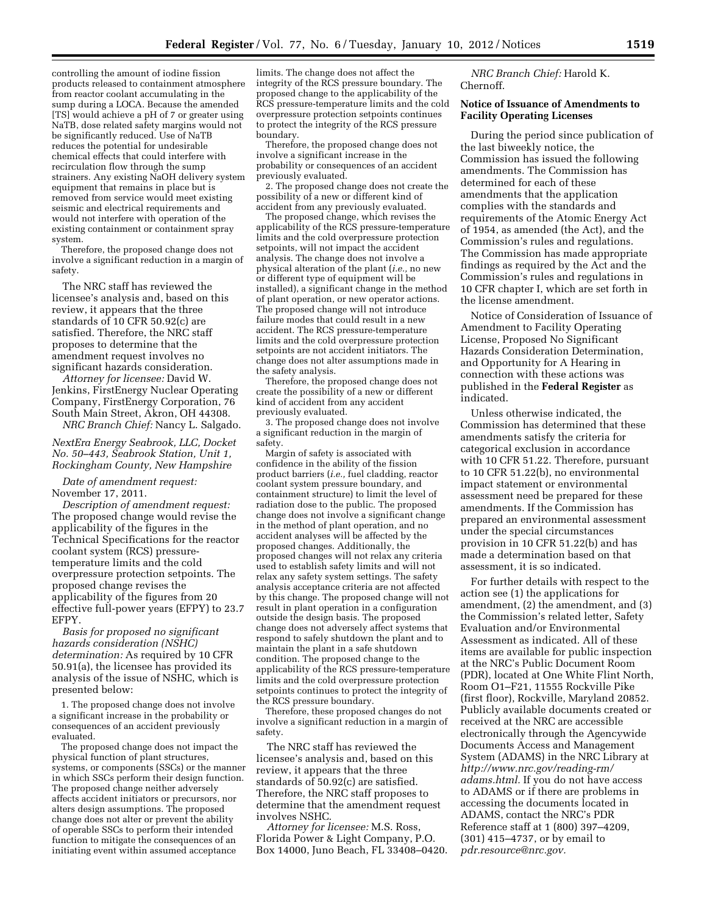controlling the amount of iodine fission products released to containment atmosphere from reactor coolant accumulating in the sump during a LOCA. Because the amended [TS] would achieve a pH of 7 or greater using NaTB, dose related safety margins would not be significantly reduced. Use of NaTB reduces the potential for undesirable chemical effects that could interfere with recirculation flow through the sump strainers. Any existing NaOH delivery system equipment that remains in place but is removed from service would meet existing seismic and electrical requirements and would not interfere with operation of the existing containment or containment spray system.

Therefore, the proposed change does not involve a significant reduction in a margin of safety.

The NRC staff has reviewed the licensee's analysis and, based on this review, it appears that the three standards of 10 CFR 50.92(c) are satisfied. Therefore, the NRC staff proposes to determine that the amendment request involves no significant hazards consideration.

*Attorney for licensee:* David W. Jenkins, FirstEnergy Nuclear Operating Company, FirstEnergy Corporation, 76 South Main Street, Akron, OH 44308. *NRC Branch Chief:* Nancy L. Salgado.

## *NextEra Energy Seabrook, LLC, Docket No. 50–443, Seabrook Station, Unit 1, Rockingham County, New Hampshire*

*Date of amendment request:*  November 17, 2011.

*Description of amendment request:*  The proposed change would revise the applicability of the figures in the Technical Specifications for the reactor coolant system (RCS) pressuretemperature limits and the cold overpressure protection setpoints. The proposed change revises the applicability of the figures from 20 effective full-power years (EFPY) to 23.7 EFPY.

*Basis for proposed no significant hazards consideration (NSHC) determination:* As required by 10 CFR 50.91(a), the licensee has provided its analysis of the issue of NSHC, which is presented below:

1. The proposed change does not involve a significant increase in the probability or consequences of an accident previously evaluated.

The proposed change does not impact the physical function of plant structures, systems, or components (SSCs) or the manner in which SSCs perform their design function. The proposed change neither adversely affects accident initiators or precursors, nor alters design assumptions. The proposed change does not alter or prevent the ability of operable SSCs to perform their intended function to mitigate the consequences of an initiating event within assumed acceptance

limits. The change does not affect the integrity of the RCS pressure boundary. The proposed change to the applicability of the RCS pressure-temperature limits and the cold overpressure protection setpoints continues to protect the integrity of the RCS pressure boundary.

Therefore, the proposed change does not involve a significant increase in the probability or consequences of an accident previously evaluated.

2. The proposed change does not create the possibility of a new or different kind of accident from any previously evaluated.

The proposed change, which revises the applicability of the RCS pressure-temperature limits and the cold overpressure protection setpoints, will not impact the accident analysis. The change does not involve a physical alteration of the plant (*i.e.,* no new or different type of equipment will be installed), a significant change in the method of plant operation, or new operator actions. The proposed change will not introduce failure modes that could result in a new accident. The RCS pressure-temperature limits and the cold overpressure protection setpoints are not accident initiators. The change does not alter assumptions made in the safety analysis.

Therefore, the proposed change does not create the possibility of a new or different kind of accident from any accident previously evaluated.

3. The proposed change does not involve a significant reduction in the margin of safety.

Margin of safety is associated with confidence in the ability of the fission product barriers (*i.e.,* fuel cladding, reactor coolant system pressure boundary, and containment structure) to limit the level of radiation dose to the public. The proposed change does not involve a significant change in the method of plant operation, and no accident analyses will be affected by the proposed changes. Additionally, the proposed changes will not relax any criteria used to establish safety limits and will not relax any safety system settings. The safety analysis acceptance criteria are not affected by this change. The proposed change will not result in plant operation in a configuration outside the design basis. The proposed change does not adversely affect systems that respond to safely shutdown the plant and to maintain the plant in a safe shutdown condition. The proposed change to the applicability of the RCS pressure-temperature limits and the cold overpressure protection setpoints continues to protect the integrity of the RCS pressure boundary.

Therefore, these proposed changes do not involve a significant reduction in a margin of safety.

The NRC staff has reviewed the licensee's analysis and, based on this review, it appears that the three standards of 50.92(c) are satisfied. Therefore, the NRC staff proposes to determine that the amendment request involves NSHC.

*Attorney for licensee:* M.S. Ross, Florida Power & Light Company, P.O. Box 14000, Juno Beach, FL 33408–0420.

*NRC Branch Chief:* Harold K. Chernoff.

## **Notice of Issuance of Amendments to Facility Operating Licenses**

During the period since publication of the last biweekly notice, the Commission has issued the following amendments. The Commission has determined for each of these amendments that the application complies with the standards and requirements of the Atomic Energy Act of 1954, as amended (the Act), and the Commission's rules and regulations. The Commission has made appropriate findings as required by the Act and the Commission's rules and regulations in 10 CFR chapter I, which are set forth in the license amendment.

Notice of Consideration of Issuance of Amendment to Facility Operating License, Proposed No Significant Hazards Consideration Determination, and Opportunity for A Hearing in connection with these actions was published in the **Federal Register** as indicated.

Unless otherwise indicated, the Commission has determined that these amendments satisfy the criteria for categorical exclusion in accordance with 10 CFR 51.22. Therefore, pursuant to 10 CFR 51.22(b), no environmental impact statement or environmental assessment need be prepared for these amendments. If the Commission has prepared an environmental assessment under the special circumstances provision in 10 CFR 51.22(b) and has made a determination based on that assessment, it is so indicated.

For further details with respect to the action see (1) the applications for amendment, (2) the amendment, and (3) the Commission's related letter, Safety Evaluation and/or Environmental Assessment as indicated. All of these items are available for public inspection at the NRC's Public Document Room (PDR), located at One White Flint North, Room O1–F21, 11555 Rockville Pike (first floor), Rockville, Maryland 20852. Publicly available documents created or received at the NRC are accessible electronically through the Agencywide Documents Access and Management System (ADAMS) in the NRC Library at *[http://www.nrc.gov/reading-rm/](http://www.nrc.gov/reading-rm/adams.html)  [adams.html.](http://www.nrc.gov/reading-rm/adams.html)* If you do not have access to ADAMS or if there are problems in accessing the documents located in ADAMS, contact the NRC's PDR Reference staff at 1 (800) 397–4209, (301) 415–4737, or by email to *[pdr.resource@nrc.gov.](mailto:pdr.resource@nrc.gov)*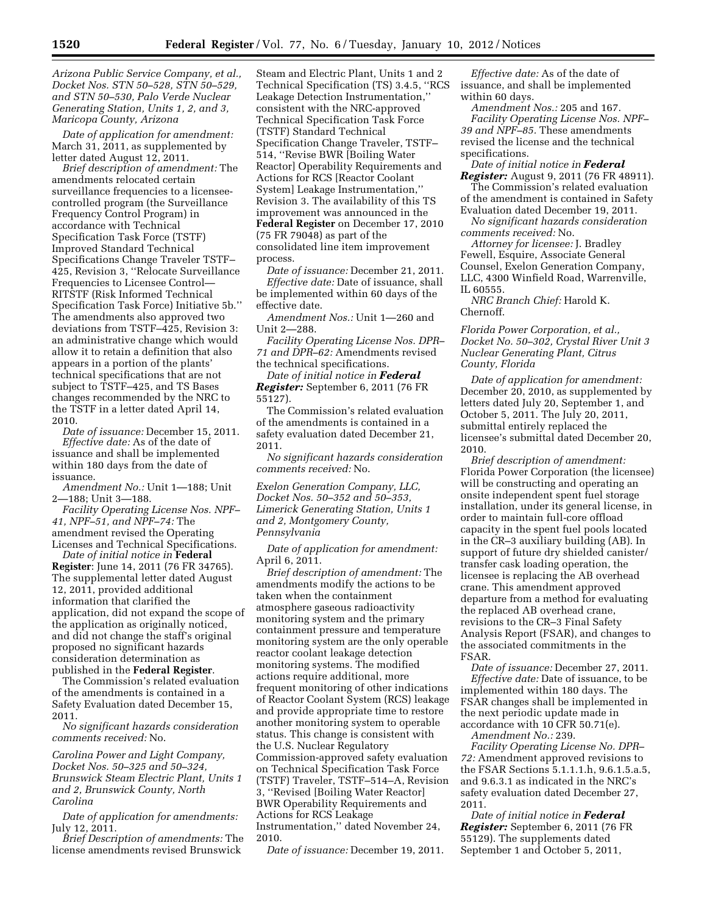*Arizona Public Service Company, et al., Docket Nos. STN 50–528, STN 50–529, and STN 50–530, Palo Verde Nuclear Generating Station, Units 1, 2, and 3, Maricopa County, Arizona* 

*Date of application for amendment:*  March 31, 2011, as supplemented by letter dated August 12, 2011.

*Brief description of amendment:* The amendments relocated certain surveillance frequencies to a licenseecontrolled program (the Surveillance Frequency Control Program) in accordance with Technical Specification Task Force (TSTF) Improved Standard Technical Specifications Change Traveler TSTF– 425, Revision 3, ''Relocate Surveillance Frequencies to Licensee Control— RITSTF (Risk Informed Technical Specification Task Force) Initiative 5b.'' The amendments also approved two deviations from TSTF–425, Revision 3: an administrative change which would allow it to retain a definition that also appears in a portion of the plants' technical specifications that are not subject to TSTF–425, and TS Bases changes recommended by the NRC to the TSTF in a letter dated April 14, 2010.

*Date of issuance:* December 15, 2011. *Effective date:* As of the date of issuance and shall be implemented within 180 days from the date of issuance.

*Amendment No.:* Unit 1—188; Unit 2—188; Unit 3—188.

*Facility Operating License Nos. NPF– 41, NPF–51, and NPF–74:* The amendment revised the Operating Licenses and Technical Specifications.

*Date of initial notice in* **Federal Register**: June 14, 2011 (76 FR 34765). The supplemental letter dated August 12, 2011, provided additional information that clarified the application, did not expand the scope of the application as originally noticed, and did not change the staff's original proposed no significant hazards consideration determination as published in the **Federal Register**.

The Commission's related evaluation of the amendments is contained in a Safety Evaluation dated December 15, 2011.

*No significant hazards consideration comments received:* No.

*Carolina Power and Light Company, Docket Nos. 50–325 and 50–324, Brunswick Steam Electric Plant, Units 1 and 2, Brunswick County, North Carolina* 

*Date of application for amendments:*  July 12, 2011.

*Brief Description of amendments:* The license amendments revised Brunswick

Steam and Electric Plant, Units 1 and 2 Technical Specification (TS) 3.4.5, ''RCS Leakage Detection Instrumentation,'' consistent with the NRC-approved Technical Specification Task Force (TSTF) Standard Technical Specification Change Traveler, TSTF– 514, ''Revise BWR [Boiling Water Reactor] Operability Requirements and Actions for RCS [Reactor Coolant System] Leakage Instrumentation,'' Revision 3. The availability of this TS improvement was announced in the **Federal Register** on December 17, 2010 (75 FR 79048) as part of the consolidated line item improvement process.

*Date of issuance:* December 21, 2011. *Effective date:* Date of issuance, shall be implemented within 60 days of the effective date.

*Amendment Nos.:* Unit 1—260 and Unit 2—288.

*Facility Operating License Nos. DPR– 71 and DPR–62:* Amendments revised the technical specifications.

*Date of initial notice in Federal Register:* September 6, 2011 (76 FR 55127).

The Commission's related evaluation of the amendments is contained in a safety evaluation dated December 21, 2011.

*No significant hazards consideration comments received:* No.

*Exelon Generation Company, LLC, Docket Nos. 50–352 and 50–353, Limerick Generating Station, Units 1 and 2, Montgomery County, Pennsylvania* 

*Date of application for amendment:*  April 6, 2011.

*Brief description of amendment:* The amendments modify the actions to be taken when the containment atmosphere gaseous radioactivity monitoring system and the primary containment pressure and temperature monitoring system are the only operable reactor coolant leakage detection monitoring systems. The modified actions require additional, more frequent monitoring of other indications of Reactor Coolant System (RCS) leakage and provide appropriate time to restore another monitoring system to operable status. This change is consistent with the U.S. Nuclear Regulatory Commission-approved safety evaluation on Technical Specification Task Force (TSTF) Traveler, TSTF–514–A, Revision 3, ''Revised [Boiling Water Reactor] BWR Operability Requirements and Actions for RCS Leakage Instrumentation,'' dated November 24, 2010.

*Date of issuance:* December 19, 2011.

*Effective date:* As of the date of issuance, and shall be implemented within 60 days.

*Amendment Nos.:* 205 and 167. *Facility Operating License Nos. NPF– 39 and NPF–85.* These amendments revised the license and the technical specifications.

*Date of initial notice in Federal Register:* August 9, 2011 (76 FR 48911). The Commission's related evaluation of the amendment is contained in Safety Evaluation dated December 19, 2011.

*No significant hazards consideration comments received:* No.

*Attorney for licensee:* J. Bradley Fewell, Esquire, Associate General Counsel, Exelon Generation Company, LLC, 4300 Winfield Road, Warrenville, IL 60555.

*NRC Branch Chief:* Harold K. Chernoff.

*Florida Power Corporation, et al., Docket No. 50–302, Crystal River Unit 3 Nuclear Generating Plant, Citrus County, Florida* 

*Date of application for amendment:*  December 20, 2010, as supplemented by letters dated July 20, September 1, and October 5, 2011. The July 20, 2011, submittal entirely replaced the licensee's submittal dated December 20, 2010.

*Brief description of amendment:*  Florida Power Corporation (the licensee) will be constructing and operating an onsite independent spent fuel storage installation, under its general license, in order to maintain full-core offload capacity in the spent fuel pools located in the CR–3 auxiliary building (AB). In support of future dry shielded canister/ transfer cask loading operation, the licensee is replacing the AB overhead crane. This amendment approved departure from a method for evaluating the replaced AB overhead crane, revisions to the CR–3 Final Safety Analysis Report (FSAR), and changes to the associated commitments in the FSAR.

*Date of issuance:* December 27, 2011. *Effective date:* Date of issuance, to be implemented within 180 days. The FSAR changes shall be implemented in the next periodic update made in accordance with 10 CFR 50.71(e).

*Amendment No.:* 239.

*Facility Operating License No. DPR– 72:* Amendment approved revisions to the FSAR Sections 5.1.1.1.h, 9.6.1.5.a.5, and 9.6.3.1 as indicated in the NRC's safety evaluation dated December 27, 2011.

*Date of initial notice in Federal Register:* September 6, 2011 (76 FR 55129). The supplements dated September 1 and October 5, 2011,